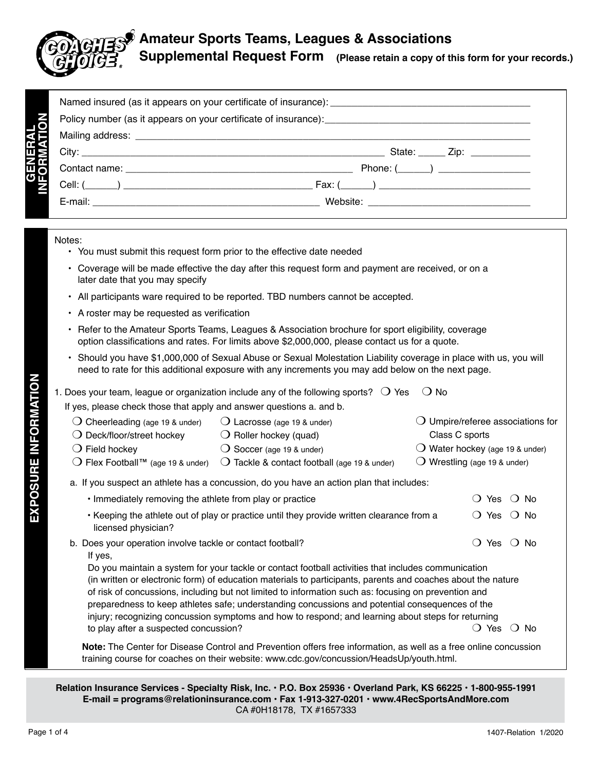# **Amateur Sports Teams, Leagues & Associations Supplemental Request Form (Please retain a copy of this form for your records.)**

|  | State: <u>_____</u> Zip: ___________ |  |  |  |
|--|--------------------------------------|--|--|--|
|  |                                      |  |  |  |
|  |                                      |  |  |  |
|  |                                      |  |  |  |

#### Notes:

**GENERAL** 

**EXPOSURE INFORMATION**

EXPOSURE INFORMATION

- You must submit this request form prior to the effective date needed
- Coverage will be made effective the day after this request form and payment are received, or on a later date that you may specify
- All participants ware required to be reported. TBD numbers cannot be accepted.
- A roster may be requested as verification
- Refer to the Amateur Sports Teams, Leagues & Association brochure for sport eligibility, coverage option classifications and rates. For limits above \$2,000,000, please contact us for a quote.
- Should you have \$1,000,000 of Sexual Abuse or Sexual Molestation Liability coverage in place with us, you will need to rate for this additional exposure with any increments you may add below on the next page.

|                                                                       | 1. Does your team, league or organization include any of the following sports? $\bigcirc$ Yes | $\bigcirc$ No                              |  |  |
|-----------------------------------------------------------------------|-----------------------------------------------------------------------------------------------|--------------------------------------------|--|--|
| If yes, please check those that apply and answer questions a. and b.  |                                                                                               |                                            |  |  |
| $\bigcirc$ Cheerleading (age 19 & under)                              | $\bigcirc$ Lacrosse (age 19 & under)                                                          | $\bigcirc$ Umpire/referee associations for |  |  |
| $\bigcirc$ Deck/floor/street hockey                                   | $\bigcirc$ Roller hockey (quad)                                                               | Class C sports                             |  |  |
| $\bigcirc$ Field hockey                                               | $\bigcirc$ Soccer (age 19 & under)                                                            | $\bigcirc$ Water hockey (age 19 & under)   |  |  |
| ◯ Flex Football <sup>™</sup> (age 19 & under)                         | $\bigcirc$ Tackle & contact football (age 19 & under)                                         | $\bigcirc$ Wrestling (age 19 & under)      |  |  |
|                                                                       | a. If you suspect an athlete has a concussion, do you have an action plan that includes:      |                                            |  |  |
| . Immediately removing the athlete from play or practice<br>N∩<br>Yes |                                                                                               |                                            |  |  |
|                                                                       |                                                                                               |                                            |  |  |

- Keeping the athlete out of play or practice until they provide written clearance from a  $\Box$  Yes  $\Box$  No licensed physician?
- b. Does your operation involve tackle or contact football? The Most many  $O$  Yes  $O$  No If yes,

Do you maintain a system for your tackle or contact football activities that includes communication (in written or electronic form) of education materials to participants, parents and coaches about the nature of risk of concussions, including but not limited to information such as: focusing on prevention and preparedness to keep athletes safe; understanding concussions and potential consequences of the injury; recognizing concussion symptoms and how to respond; and learning about steps for returning to play after a suspected concussion? m Yes m No

 **Note:** The Center for Disease Control and Prevention offers free information, as well as a free online concussion training course for coaches on their website: www.cdc.gov/concussion/HeadsUp/youth.html.

**Relation Insurance Services - Specialty Risk, Inc. • P.O. Box 25936 • Overland Park, KS 66225 • 1-800-955-1991 E-mail = programs@relationinsurance.com • Fax 1-913-327-0201 • www.4RecSportsAndMore.com** CA #0H18178, TX #1657333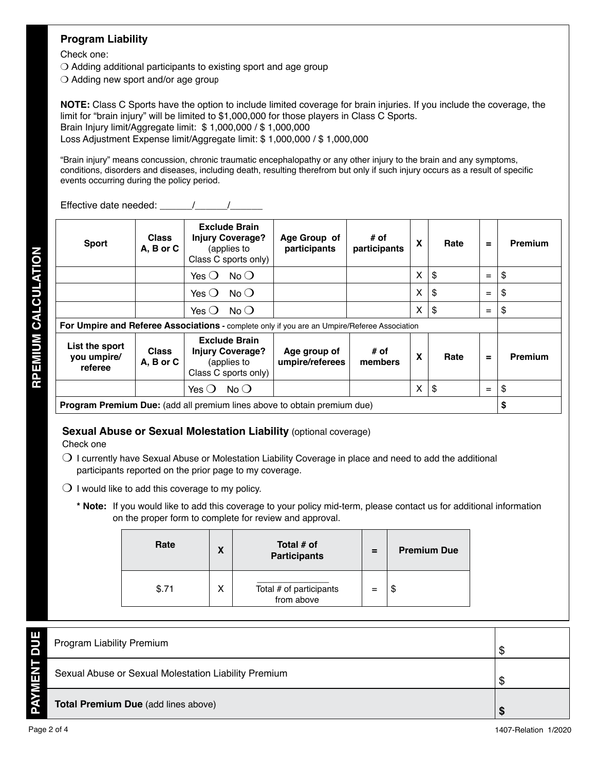## **Program Liability**

Check one:

 $\bigcirc$  Adding additional participants to existing sport and age group

 $\bigcirc$  Adding new sport and/or age group

**NOTE:** Class C Sports have the option to include limited coverage for brain injuries. If you include the coverage, the limit for "brain injury" will be limited to \$1,000,000 for those players in Class C Sports. Brain Injury limit/Aggregate limit: \$ 1,000,000 / \$ 1,000,000 Loss Adjustment Expense limit/Aggregate limit: \$ 1,000,000 / \$ 1,000,000

"Brain injury" means concussion, chronic traumatic encephalopathy or any other injury to the brain and any symptoms, conditions, disorders and diseases, including death, resulting therefrom but only if such injury occurs as a result of specific events occurring during the policy period.

Effective date needed: The Mateurian Mateurian Mateurian Mateurian Mateurian Mateurian Mateurian Mateurian Mateurian Mateurian Mateurian Mateurian Mateurian Mateurian Mateurian Mateurian Mateurian Mateurian Mateurian Mateu

| <b>Sport</b>                                                                                 | <b>Class</b><br>A, B or C | <b>Exclude Brain</b><br><b>Injury Coverage?</b><br>(applies to<br>Class C sports only) | Age Group of<br>participants    | # of<br>participants | X | Rate | $\equiv$ | Premium        |
|----------------------------------------------------------------------------------------------|---------------------------|----------------------------------------------------------------------------------------|---------------------------------|----------------------|---|------|----------|----------------|
|                                                                                              |                           | $No$ $O$<br>Yes $\bigcirc$                                                             |                                 |                      | X | \$   | $=$      | \$             |
|                                                                                              |                           | $No$ (<br>Yes $()$                                                                     |                                 |                      | X | \$   | $=$      | \$             |
|                                                                                              |                           | $No$ (<br>Yes $\Omega$                                                                 |                                 |                      | X | \$   | $=$      | \$             |
| For Umpire and Referee Associations - complete only if you are an Umpire/Referee Association |                           |                                                                                        |                                 |                      |   |      |          |                |
| List the sport<br>you umpire/<br>referee                                                     | <b>Class</b><br>A, B or C | <b>Exclude Brain</b><br><b>Injury Coverage?</b><br>(applies to<br>Class C sports only) | Age group of<br>umpire/referees | # of<br>members      | x | Rate | $=$      | <b>Premium</b> |
|                                                                                              |                           | $No$ (<br>Yes $\Omega$                                                                 |                                 |                      | X | \$   | $=$      | \$             |
| Program Premium Due: (add all premium lines above to obtain premium due)                     |                           |                                                                                        |                                 |                      |   |      |          | \$             |

### **Sexual Abuse or Sexual Molestation Liability (optional coverage)**

Check one

- $\bigcirc$  I currently have Sexual Abuse or Molestation Liability Coverage in place and need to add the additional participants reported on the prior page to my coverage.
- $\bigcirc$  I would like to add this coverage to my policy.
	- **\* Note:** If you would like to add this coverage to your policy mid-term, please contact us for additional information on the proper form to complete for review and approval.

| Rate  | X | Total # of<br><b>Participants</b>     | $=$ | <b>Premium Due</b> |
|-------|---|---------------------------------------|-----|--------------------|
| \$.71 | х | Total # of participants<br>from above |     | Φ                  |

|   | <b>Program Liability Premium</b>                     |  |
|---|------------------------------------------------------|--|
| Ш | Sexual Abuse or Sexual Molestation Liability Premium |  |
|   | <b>Total Premium Due (add lines above)</b>           |  |

**RPEMIUM CALCULATION RPEMIUM CALCULATION**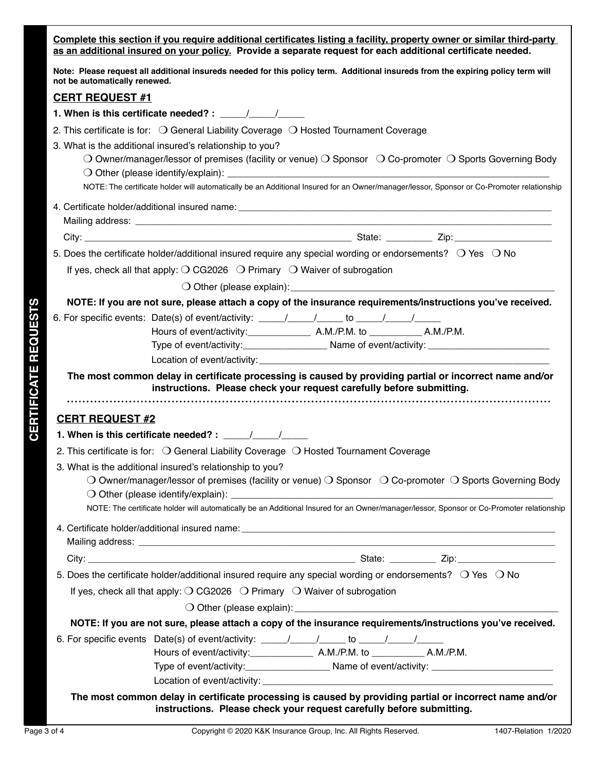**Complete this section if you require additional certificates listing a facility, property owner or similar third-party as an additional insured on your policy. Provide a separate request for each additional certificate needed.** 

**Note: Please request all additional insureds needed for this policy term. Additional insureds from the expiring policy term will not be automatically renewed.** 

#### **CERT REQUEST #1**

- **1. When is this certificate needed? :**  $\frac{1}{2}$
- 2. This certificate is for:  $\bigcirc$  General Liability Coverage  $\bigcirc$  Hosted Tournament Coverage
- 3. What is the additional insured's relationship to you?
	- O Owner/manager/lessor of premises (facility or venue) O Sponsor  $\circ$  O Co-promoter  $\circ$  Sports Governing Body  $\bigcirc$  Other (please identify/explain):

NOTE: The certificate holder will automatically be an Additional Insured for an Owner/manager/lessor, Sponsor or Co-Promoter relationship

4. Certificate holder/additional insured name:

Mailing address: **We are all that the set of the set of the set of the set of the set of the set of the set of the set of the set of the set of the set of the set of the set of the set of the set of the set of the set of t** 

City: \_\_\_\_\_\_\_\_\_\_\_\_\_\_\_\_\_\_\_\_\_\_\_\_\_\_\_\_\_\_\_\_\_\_\_\_\_\_\_\_\_\_\_\_\_\_\_\_\_\_\_\_ State: \_\_\_\_\_\_\_\_\_ Zip:\_\_\_\_\_\_\_\_\_\_\_\_\_\_\_\_\_\_\_

5. Does the certificate holder/additional insured require any special wording or endorsements?  $\circ$  Yes  $\circ$  No

If yes, check all that apply:  $\bigcirc$  CG2026  $\bigcirc$  Primary  $\bigcirc$  Waiver of subrogation

 $\bigcirc$  Other (please explain):

**NOTE: If you are not sure, please attach a copy of the insurance requirements/instructions you've received.**

- 6. For specific events: Date(s) of event/activity:  $\frac{1}{\sqrt{1-\frac{1}{\sqrt{1-\frac{1}{\sqrt{1-\frac{1}{\sqrt{1-\frac{1}{\sqrt{1-\frac{1}{\sqrt{1-\frac{1}{\sqrt{1-\frac{1}{\sqrt{1-\frac{1}{\sqrt{1-\frac{1}{\sqrt{1-\frac{1}{\sqrt{1-\frac{1}{\sqrt{1-\frac{1}{\sqrt{1-\frac{1}{\sqrt{1-\frac{1}{\sqrt{1-\frac{1}{\sqrt{1-\frac{1}{\sqrt{1-\frac{1}{\sqrt{1-\frac{1}{\sqrt$ 
	- Hours of event/activity:\_\_\_\_\_\_\_\_\_\_\_\_ A.M./P.M. to \_\_\_\_\_\_\_\_\_\_ A.M./P.M.
	- Type of event/activity:\_\_\_\_\_\_\_\_\_\_\_\_\_\_\_\_\_\_\_\_\_\_\_\_\_ Name of event/activity: \_\_\_\_\_\_\_\_
	- Location of event/activity:

**The most common delay in certificate processing is caused by providing partial or incorrect name and/or instructions. Please check your request carefully before submitting.**

### **CERT REQUEST #2**

| 1. When is this certificate needed?: |  |  |
|--------------------------------------|--|--|
|--------------------------------------|--|--|

- 2. This certificate is for:  $\bigcirc$  General Liability Coverage  $\bigcirc$  Hosted Tournament Coverage
- 3. What is the additional insured's relationship to you?
- **Particular are plus as interimental control are certificated in the control are controlled in the controlled in the controlled in the controlled in the controlled in the controlled in the controlled in the controlled in**  $\bigcirc$  Owner/manager/lessor of premises (facility or venue)  $\bigcirc$  Sponsor  $\bigcirc$  Co-promoter  $\bigcirc$  Sports Governing Body  $\bigcirc$  Other (please identify/explain):

NOTE: The certificate holder will automatically be an Additional Insured for an Owner/manager/lessor, Sponsor or Co-Promoter relationship

4. Certificate holder/additional insured name: Mailing address: \_\_\_\_\_\_\_\_\_\_\_\_\_\_\_\_\_\_\_\_\_\_\_\_\_\_\_\_\_\_\_\_\_\_\_\_\_\_\_\_\_\_\_\_\_\_\_\_\_\_\_\_\_\_\_\_\_\_\_\_\_\_\_\_\_\_\_\_\_\_\_\_\_\_\_\_\_\_\_\_\_

City: \_\_\_\_\_\_\_\_\_\_\_\_\_\_\_\_\_\_\_\_\_\_\_\_\_\_\_\_\_\_\_\_\_\_\_\_\_\_\_\_\_\_\_\_\_\_\_\_\_\_\_\_ State: \_\_\_\_\_\_\_\_\_ Zip:\_\_\_\_\_\_\_\_\_\_\_\_\_\_\_\_\_\_\_

5. Does the certificate holder/additional insured require any special wording or endorsements?  $\circ$  Yes  $\circ$  No

If yes, check all that apply:  $\bigcirc$  CG2026  $\bigcirc$  Primary  $\bigcirc$  Waiver of subrogation

 $\bigcirc$  Other (please explain):

**NOTE: If you are not sure, please attach a copy of the insurance requirements/instructions you've received.**

6. For specific events Date(s) of event/activity:  $\underline{\qquad \qquad }$  / \_\_\_\_\_\_ to \_\_\_\_\_/ \_\_\_\_\_/

Hours of event/activity:\_\_\_\_\_\_\_\_\_\_\_\_ A.M./P.M. to \_\_\_\_\_\_\_\_\_\_ A.M./P.M.

Type of event/activity:\_\_\_\_\_\_\_\_\_\_\_\_\_\_\_\_\_\_\_\_\_\_\_\_\_ Name of event/activity: \_\_\_\_\_\_\_\_\_\_\_\_\_\_\_ Location of event/activity:

**The most common delay in certificate processing is caused by providing partial or incorrect name and/or instructions. Please check your request carefully before submitting.**